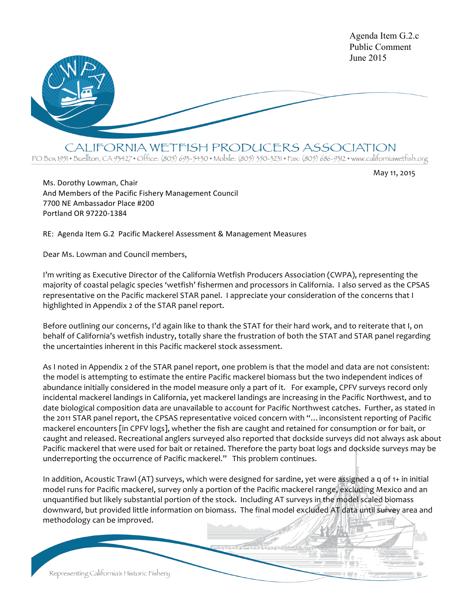

CALIFORNIA WETFISH PRODUCERS ASSOCIATION

PO Box 1951 • Buellton, CA 93427 • Office: (805) 693-5430 • Mobile: (805) 350-3231 • Fax: (805) 686-9312 • www.californiawetfish.org

May 11, 2015

Ms. Dorothy Lowman, Chair And Members of the Pacific Fishery Management Council 7700 NE Ambassador Place #200 Portland OR 97220-1384

RE: Agenda Item G.2 Pacific Mackerel Assessment & Management Measures

Dear Ms. Lowman and Council members,

I'm writing as Executive Director of the California Wetfish Producers Association (CWPA), representing the majority of coastal pelagic species 'wetfish' fishermen and processors in California. I also served as the CPSAS representative on the Pacific mackerel STAR panel. I appreciate your consideration of the concerns that I highlighted in Appendix 2 of the STAR panel report.

Before outlining our concerns, I'd again like to thank the STAT for their hard work, and to reiterate that I, on behalf of California's wetfish industry, totally share the frustration of both the STAT and STAR panel regarding the uncertainties inherent in this Pacific mackerel stock assessment.

As I noted in Appendix 2 of the STAR panel report, one problem is that the model and data are not consistent: the model is attempting to estimate the entire Pacific mackerel biomass but the two independent indices of abundance initially considered in the model measure only a part of it. For example, CPFV surveys record only incidental mackerel landings in California, yet mackerel landings are increasing in the Pacific Northwest, and to date biological composition data are unavailable to account for Pacific Northwest catches. Further, as stated in the 2011 STAR panel report, the CPSAS representative voiced concern with "... inconsistent reporting of Pacific mackerel encounters [in CPFV logs], whether the fish are caught and retained for consumption or for bait, or caught and released. Recreational anglers surveyed also reported that dockside surveys did not always ask about Pacific mackerel that were used for bait or retained. Therefore the party boat logs and dockside surveys may be underreporting the occurrence of Pacific mackerel." This problem continues.

In addition, Acoustic Trawl (AT) surveys, which were designed for sardine, yet were assigned a q of 1+ in initial model runs for Pacific mackerel, survey only a portion of the Pacific mackerel range, excluding Mexico and an unquantified but likely substantial portion of the stock. Including AT surveys in the model scaled biomass downward, but provided little information on biomass. The final model excluded AT data until survey area and methodology can be improved.

Representing California's Historic Fishery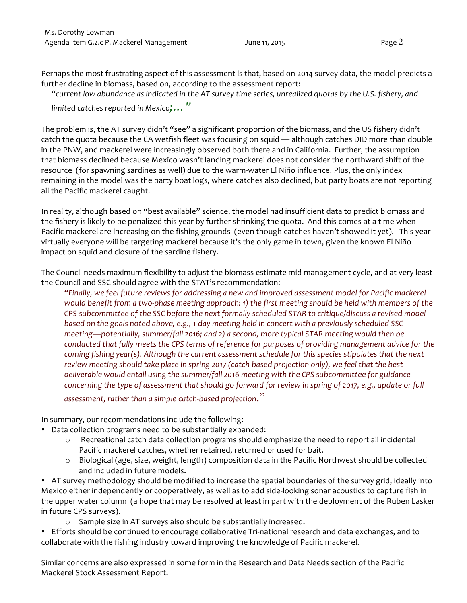Perhaps the most frustrating aspect of this assessment is that, based on 2014 survey data, the model predicts a further decline in biomass, based on, according to the assessment report:

"current low abundance as indicated in the AT survey time series, unrealized quotas by the U.S. fishery, and *limited catches reported in Mexico*;..."

The problem is, the AT survey didn't "see" a significant proportion of the biomass, and the US fishery didn't catch the quota because the CA wetfish fleet was focusing on squid — although catches DID more than double in the PNW, and mackerel were increasingly observed both there and in California. Further, the assumption that biomass declined because Mexico wasn't landing mackerel does not consider the northward shift of the resource (for spawning sardines as well) due to the warm-water El Niño influence. Plus, the only index remaining in the model was the party boat logs, where catches also declined, but party boats are not reporting all the Pacific mackerel caught.

In reality, although based on "best available" science, the model had insufficient data to predict biomass and the fishery is likely to be penalized this year by further shrinking the quota. And this comes at a time when Pacific mackerel are increasing on the fishing grounds (even though catches haven't showed it yet). This year virtually everyone will be targeting mackerel because it's the only game in town, given the known El Niño impact on squid and closure of the sardine fishery.

The Council needs maximum flexibility to adjust the biomass estimate mid-management cycle, and at very least the Council and SSC should agree with the STAT's recommendation:

"Finally, we feel future reviews for addressing a new and improved assessment model for Pacific mackerel *would* benefit from a two-phase meeting approach: 1) the first meeting should be held with members of the CPS-subcommittee of the SSC before the next formally scheduled STAR to critique/discuss a revised model *based* on the goals noted above, e.g., 1-day meeting held in concert with a previously scheduled SSC *meeting—potentially, summer/fall 2016; and 2) a second, more typical STAR meeting would then be conducted that fully meets the CPS terms of reference for purposes of providing management advice for the coming fishing year(s). Although the current assessment schedule for this species stipulates that the next* review meeting should take place in spring 2017 (catch-based projection only), we feel that the best *deliverable would entail using the summer/fall 2016 meeting with the CPS subcommittee for guidance concerning the type of assessment that should go forward for review in spring of 2017, e.g., update or full assessment, rather than a simple catch-based projection.*"

In summary, our recommendations include the following:

- Data collection programs need to be substantially expanded:
	- $\circ$  Recreational catch data collection programs should emphasize the need to report all incidental Pacific mackerel catches, whether retained, returned or used for bait.
	- $\circ$  Biological (age, size, weight, length) composition data in the Pacific Northwest should be collected and included in future models.

• AT survey methodology should be modified to increase the spatial boundaries of the survey grid, ideally into Mexico either independently or cooperatively, as well as to add side-looking sonar acoustics to capture fish in the upper water column (a hope that may be resolved at least in part with the deployment of the Ruben Lasker in future CPS surveys).

 $\circ$  Sample size in AT surveys also should be substantially increased.

• Efforts should be continued to encourage collaborative Tri-national research and data exchanges, and to collaborate with the fishing industry toward improving the knowledge of Pacific mackerel.

Similar concerns are also expressed in some form in the Research and Data Needs section of the Pacific Mackerel Stock Assessment Report.